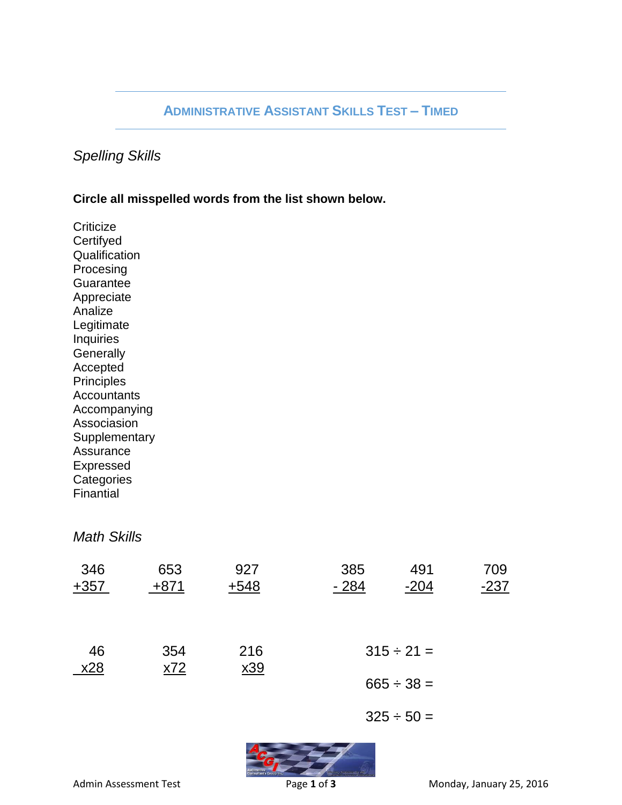# **ADMINISTRATIVE ASSISTANT SKILLS TEST – TIMED**

## *Spelling Skills*

### **Circle all misspelled words from the list shown below.**

**Criticize Certifyed Qualification** Procesing **Guarantee** Appreciate Analize Legitimate Inquiries **Generally** Accepted Principles Accountants Accompanying Associasion **Supplementary** Assurance Expressed **Categories Finantial** 

## *Math Skills*

| 346<br>$+357$ | 653<br>$+871$ | 927<br>$+548$ | 385<br>$-284$   | 491<br>$-204$   | 709<br>$-237$ |
|---------------|---------------|---------------|-----------------|-----------------|---------------|
| 46<br>x28     | 354<br>x72    | 216<br>x39    |                 | $315 \div 21 =$ |               |
|               |               |               | $665 \div 38 =$ |                 |               |
|               |               |               |                 | $325 \div 50 =$ |               |
|               |               |               |                 |                 |               |

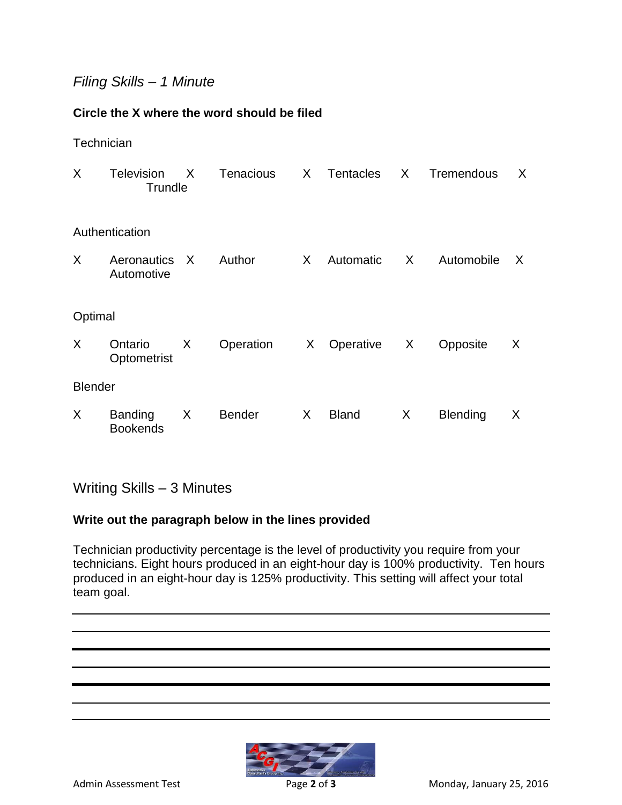# *Filing Skills – 1 Minute*

## **Circle the X where the word should be filed**

#### **Technician**

| X.             | <b>Television</b><br>Trundle      | $\mathsf{X}$ | Tenacious     | X     | Tentacles    | $\sf X$ | Tremendous      | X |  |  |  |  |
|----------------|-----------------------------------|--------------|---------------|-------|--------------|---------|-----------------|---|--|--|--|--|
| Authentication |                                   |              |               |       |              |         |                 |   |  |  |  |  |
| X              | Aeronautics X<br>Automotive       |              | Author        | $X -$ | Automatic    | $X -$   | Automobile      | X |  |  |  |  |
| Optimal        |                                   |              |               |       |              |         |                 |   |  |  |  |  |
| X              | Ontario<br>Optometrist            | $\mathsf{X}$ | Operation     |       | X Operative  | X       | Opposite        | X |  |  |  |  |
| <b>Blender</b> |                                   |              |               |       |              |         |                 |   |  |  |  |  |
| X              | <b>Banding</b><br><b>Bookends</b> | X            | <b>Bender</b> | X     | <b>Bland</b> | X       | <b>Blending</b> | X |  |  |  |  |

Writing Skills – 3 Minutes

## **Write out the paragraph below in the lines provided**

Technician productivity percentage is the level of productivity you require from your technicians. Eight hours produced in an eight-hour day is 100% productivity. Ten hours produced in an eight-hour day is 125% productivity. This setting will affect your total team goal.